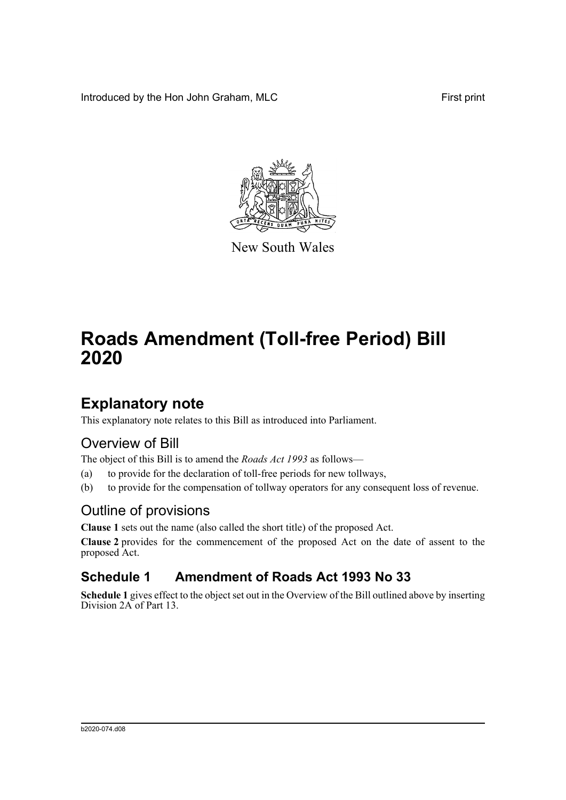Introduced by the Hon John Graham, MLC First print



New South Wales

# **Roads Amendment (Toll-free Period) Bill 2020**

## **Explanatory note**

This explanatory note relates to this Bill as introduced into Parliament.

## Overview of Bill

The object of this Bill is to amend the *Roads Act 1993* as follows—

- (a) to provide for the declaration of toll-free periods for new tollways,
- (b) to provide for the compensation of tollway operators for any consequent loss of revenue.

## Outline of provisions

**Clause 1** sets out the name (also called the short title) of the proposed Act.

**Clause 2** provides for the commencement of the proposed Act on the date of assent to the proposed Act.

## **Schedule 1 Amendment of Roads Act 1993 No 33**

**Schedule 1** gives effect to the object set out in the Overview of the Bill outlined above by inserting Division 2A of Part 13.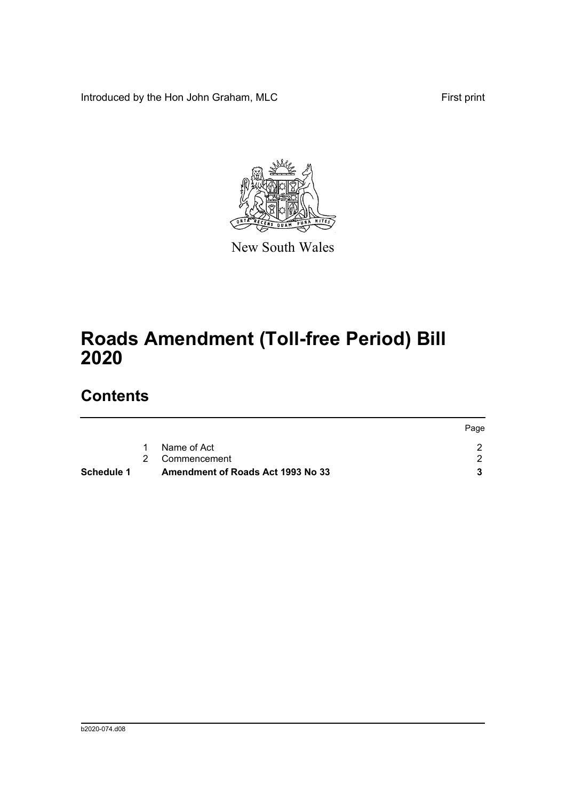Introduced by the Hon John Graham, MLC First print



New South Wales

# **Roads Amendment (Toll-free Period) Bill 2020**

## **Contents**

| Schedule 1 | Amendment of Roads Act 1993 No 33 |      |
|------------|-----------------------------------|------|
|            | 2 Commencement                    |      |
|            | Name of Act                       |      |
|            |                                   | Page |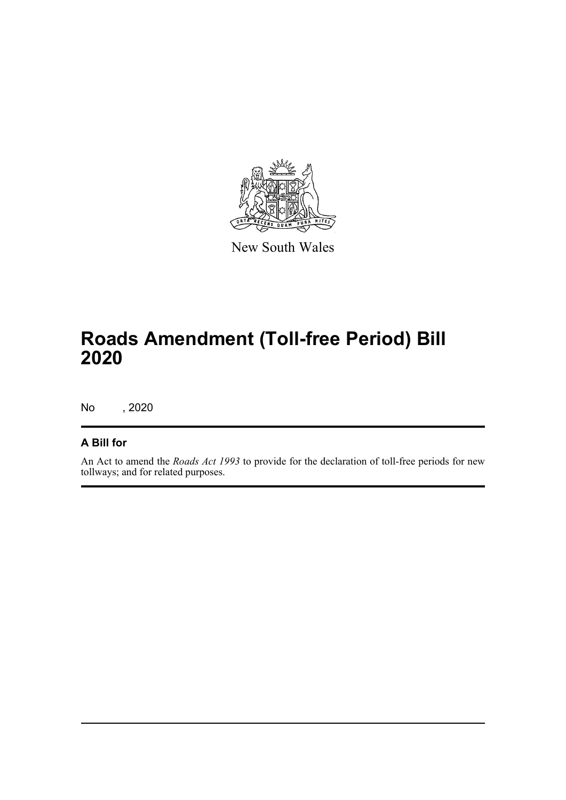

New South Wales

# **Roads Amendment (Toll-free Period) Bill 2020**

No , 2020

#### **A Bill for**

An Act to amend the *Roads Act 1993* to provide for the declaration of toll-free periods for new tollways; and for related purposes.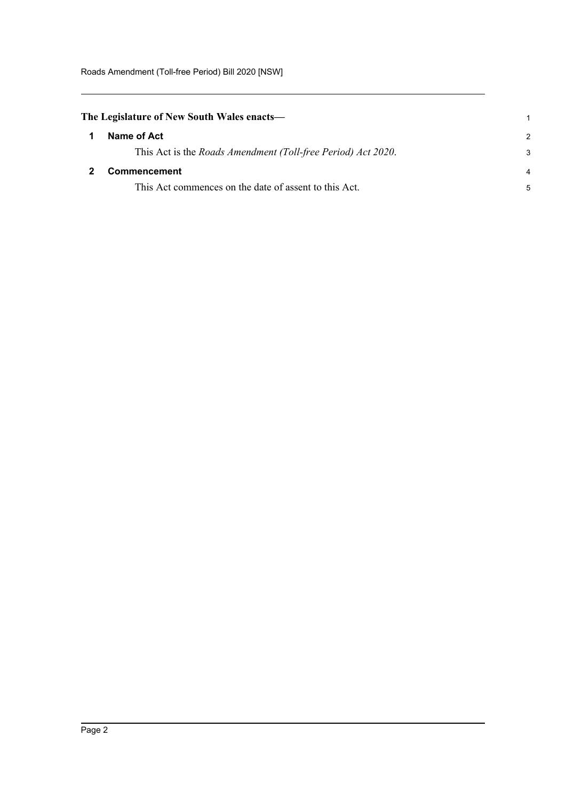<span id="page-3-1"></span><span id="page-3-0"></span>

| The Legislature of New South Wales enacts— |                                                              |               |
|--------------------------------------------|--------------------------------------------------------------|---------------|
|                                            | Name of Act                                                  | $\mathcal{P}$ |
|                                            | This Act is the Roads Amendment (Toll-free Period) Act 2020. | 3             |
|                                            | <b>Commencement</b>                                          | 4             |
|                                            | This Act commences on the date of assent to this Act.        | 5             |